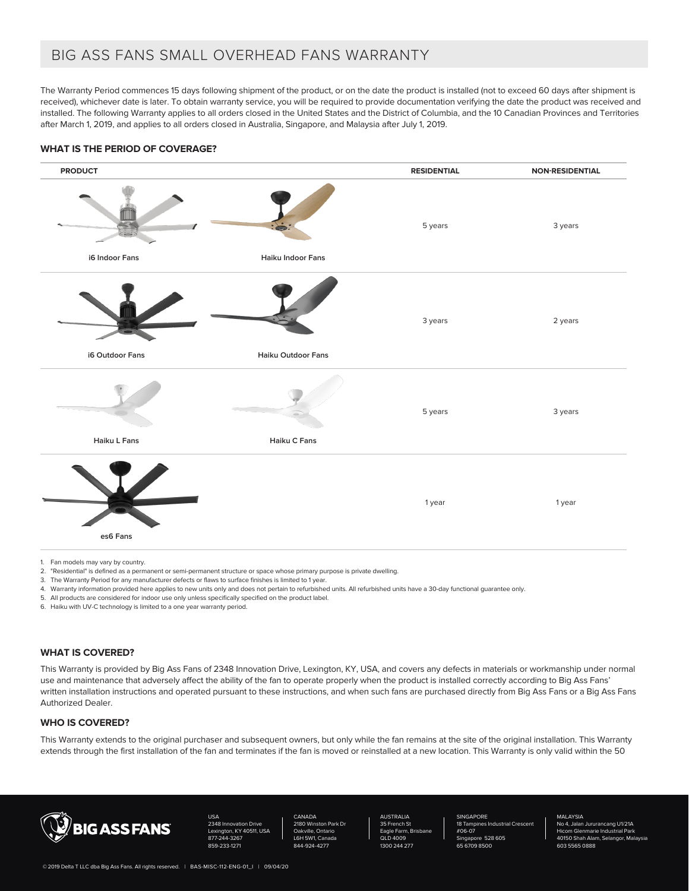# BIG ASS FANS SMALL OVERHEAD FANS WARRANTY

The Warranty Period commences 15 days following shipment of the product, or on the date the product is installed (not to exceed 60 days after shipment is received), whichever date is later. To obtain warranty service, you will be required to provide documentation verifying the date the product was received and installed. The following Warranty applies to all orders closed in the United States and the District of Columbia, and the 10 Canadian Provinces and Territories after March 1, 2019, and applies to all orders closed in Australia, Singapore, and Malaysia after July 1, 2019.

## **WHAT IS THE PERIOD OF COVERAGE?**



1. Fan models may vary by country.

- 2. "Residential" is defined as a permanent or semi-permanent structure or space whose primary purpose is private dwelling.
- 3. The Warranty Period for any manufacturer defects or flaws to surface finishes is limited to 1 year.
- 4. Warranty information provided here applies to new units only and does not pertain to refurbished units. All refurbished units have a 30-day functional guarantee only.
- 5. All products are considered for indoor use only unless specifically specified on the product label.

6. Haiku with UV-C technology is limited to a one year warranty period.

#### **WHAT IS COVERED?**

This Warranty is provided by Big Ass Fans of 2348 Innovation Drive, Lexington, KY, USA, and covers any defects in materials or workmanship under normal use and maintenance that adversely affect the ability of the fan to operate properly when the product is installed correctly according to Big Ass Fans' written installation instructions and operated pursuant to these instructions, and when such fans are purchased directly from Big Ass Fans or a Big Ass Fans Authorized Dealer.

# **WHO IS COVERED?**

This Warranty extends to the original purchaser and subsequent owners, but only while the fan remains at the site of the original installation. This Warranty extends through the first installation of the fan and terminates if the fan is moved or reinstalled at a new location. This Warranty is only valid within the 50



USA ation Drive  $KY$  40511, USA 877-244-3267 859-233-127

CANADA n Park D Oakville, Ontario L6H 5W1, Canada 824-427

AUSTRALIA 35 French St gle Farm, QLD 4009 1300 244 277 SINGAPORE 18 Tampines Industrial Crescent #06-07 e 528 605 65 6709 8500

#### MALAYSIA

No 4, Jalan Jururancang U1/21A Hicom Glenmarie Industrial Park 40150 Shah Alam, Selangor, Malaysia 603 5565 0888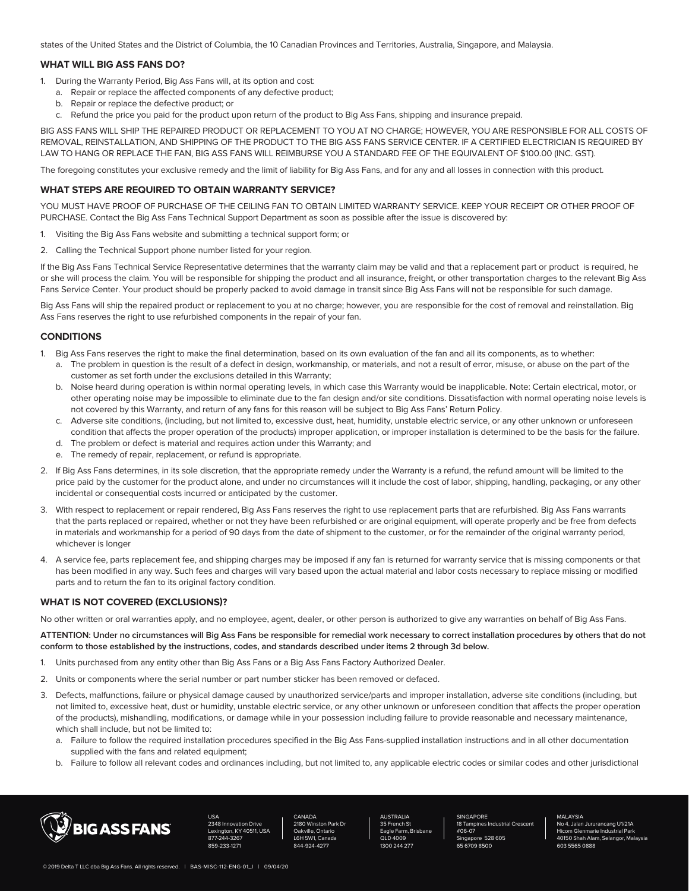states of the United States and the District of Columbia, the 10 Canadian Provinces and Territories, Australia, Singapore, and Malaysia.

## **WHAT WILL BIG ASS FANS DO?**

- 1. During the Warranty Period, Big Ass Fans will, at its option and cost:
	- a. Repair or replace the affected components of any defective product;
	- b. Repair or replace the defective product; or
	- c. Refund the price you paid for the product upon return of the product to Big Ass Fans, shipping and insurance prepaid.

BIG ASS FANS WILL SHIP THE REPAIRED PRODUCT OR REPLACEMENT TO YOU AT NO CHARGE; HOWEVER, YOU ARE RESPONSIBLE FOR ALL COSTS OF REMOVAL, REINSTALLATION, AND SHIPPING OF THE PRODUCT TO THE BIG ASS FANS SERVICE CENTER. IF A CERTIFIED ELECTRICIAN IS REQUIRED BY LAW TO HANG OR REPLACE THE FAN, BIG ASS FANS WILL REIMBURSE YOU A STANDARD FEE OF THE EQUIVALENT OF \$100.00 (INC. GST).

The foregoing constitutes your exclusive remedy and the limit of liability for Big Ass Fans, and for any and all losses in connection with this product.

#### **WHAT STEPS ARE REQUIRED TO OBTAIN WARRANTY SERVICE?**

YOU MUST HAVE PROOF OF PURCHASE OF THE CEILING FAN TO OBTAIN LIMITED WARRANTY SERVICE. KEEP YOUR RECEIPT OR OTHER PROOF OF PURCHASE. Contact the Big Ass Fans Technical Support Department as soon as possible after the issue is discovered by:

- 1. Visiting the Big Ass Fans website and submitting a technical support form; or
- 2. Calling the Technical Support phone number listed for your region.

If the Big Ass Fans Technical Service Representative determines that the warranty claim may be valid and that a replacement part or product is required, he or she will process the claim. You will be responsible for shipping the product and all insurance, freight, or other transportation charges to the relevant Big Ass Fans Service Center. Your product should be properly packed to avoid damage in transit since Big Ass Fans will not be responsible for such damage.

Big Ass Fans will ship the repaired product or replacement to you at no charge; however, you are responsible for the cost of removal and reinstallation. Big Ass Fans reserves the right to use refurbished components in the repair of your fan.

#### **CONDITIONS**

- Big Ass Fans reserves the right to make the final determination, based on its own evaluation of the fan and all its components, as to whether:
	- a. The problem in question is the result of a defect in design, workmanship, or materials, and not a result of error, misuse, or abuse on the part of the customer as set forth under the exclusions detailed in this Warranty;
	- b. Noise heard during operation is within normal operating levels, in which case this Warranty would be inapplicable. Note: Certain electrical, motor, or other operating noise may be impossible to eliminate due to the fan design and/or site conditions. Dissatisfaction with normal operating noise levels is not covered by this Warranty, and return of any fans for this reason will be subject to Big Ass Fans' Return Policy.
	- c. Adverse site conditions, (including, but not limited to, excessive dust, heat, humidity, unstable electric service, or any other unknown or unforeseen condition that affects the proper operation of the products) improper application, or improper installation is determined to be the basis for the failure.
	- d. The problem or defect is material and requires action under this Warranty; and
	- e. The remedy of repair, replacement, or refund is appropriate.
- 2. If Big Ass Fans determines, in its sole discretion, that the appropriate remedy under the Warranty is a refund, the refund amount will be limited to the price paid by the customer for the product alone, and under no circumstances will it include the cost of labor, shipping, handling, packaging, or any other incidental or consequential costs incurred or anticipated by the customer.
- 3. With respect to replacement or repair rendered, Big Ass Fans reserves the right to use replacement parts that are refurbished. Big Ass Fans warrants that the parts replaced or repaired, whether or not they have been refurbished or are original equipment, will operate properly and be free from defects in materials and workmanship for a period of 90 days from the date of shipment to the customer, or for the remainder of the original warranty period, whichever is longer
- 4. A service fee, parts replacement fee, and shipping charges may be imposed if any fan is returned for warranty service that is missing components or that has been modified in any way. Such fees and charges will vary based upon the actual material and labor costs necessary to replace missing or modified parts and to return the fan to its original factory condition.

#### **WHAT IS NOT COVERED (EXCLUSIONS)?**

No other written or oral warranties apply, and no employee, agent, dealer, or other person is authorized to give any warranties on behalf of Big Ass Fans.

**ATTENTION: Under no circumstances will Big Ass Fans be responsible for remedial work necessary to correct installation procedures by others that do not conform to those established by the instructions, codes, and standards described under items 2 through 3d below.**

- 1. Units purchased from any entity other than Big Ass Fans or a Big Ass Fans Factory Authorized Dealer.
- 2. Units or components where the serial number or part number sticker has been removed or defaced.
- 3. Defects, malfunctions, failure or physical damage caused by unauthorized service/parts and improper installation, adverse site conditions (including, but not limited to, excessive heat, dust or humidity, unstable electric service, or any other unknown or unforeseen condition that affects the proper operation of the products), mishandling, modifications, or damage while in your possession including failure to provide reasonable and necessary maintenance, which shall include, but not be limited to:
	- a. Failure to follow the required installation procedures specified in the Big Ass Fans-supplied installation instructions and in all other documentation supplied with the fans and related equipment;
	- b. Failure to follow all relevant codes and ordinances including, but not limited to, any applicable electric codes or similar codes and other jurisdictional



USA ation Drive  $UV$   $A$  $O$  $E$  $44$ ,  $H$  $E$  $A$ 877-244-3267 859-233-1271

CANADA n Park D Oakville, Ontario L6H 5W1, Canada 844-924-4277

AUSTRALIA 35 French St gle Fa QLD 4009 1300 244 277 **SINGAPORE** 18 Tampines Industrial Crescent #06-07 e 528 605 65 6709 8500

MALAYSIA

No 4, Jalan Jururancang U1/21A Hicom Glenmarie Industrial Park 40150 Shah Alam, Selangor, Malaysia 603 5565 0888